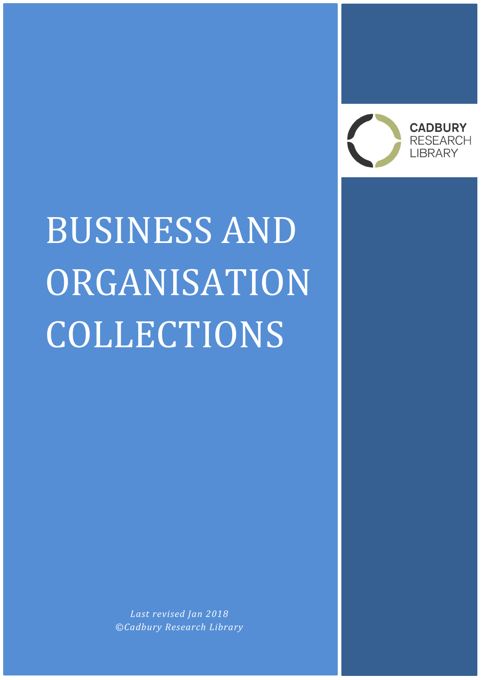

# BUSINESS AND ORGANISATION COLLECTIONS

*Last revised Jan 2018 ©Cadbury Research Library*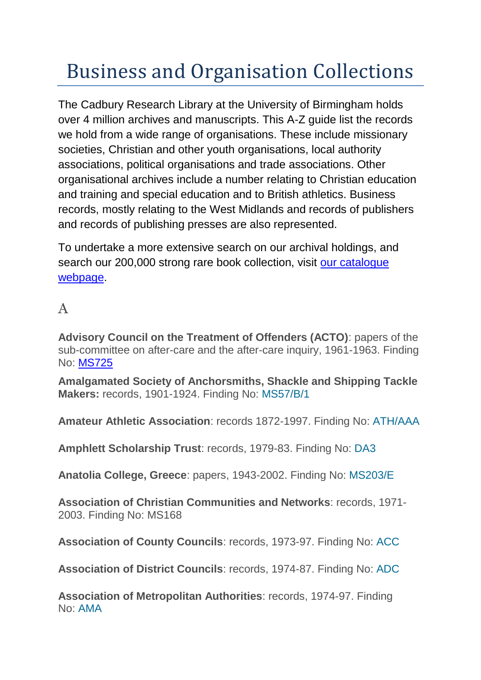# Business and Organisation Collections

The Cadbury Research Library at the University of Birmingham holds over 4 million archives and manuscripts. This A-Z guide list the records we hold from a wide range of organisations. These include missionary societies, Christian and other youth organisations, local authority associations, political organisations and trade associations. Other organisational archives include a number relating to Christian education and training and special education and to British athletics. Business records, mostly relating to the West Midlands and records of publishers and records of publishing presses are also represented.

To undertake a more extensive search on our archival holdings, and search our 200,000 strong rare book collection, visit our catalogue [webpage.](https://www.birmingham.ac.uk/facilities/cadbury/search.aspx)

# A

**Advisory Council on the Treatment of Offenders (ACTO)**: papers of the sub-committee on after-care and the after-care inquiry, 1961-1963. Finding No: [MS725](http://calmview.bham.ac.uk/Record.aspx?src=CalmView.Catalog&id=XMS725&pos=1)

**Amalgamated Society of Anchorsmiths, Shackle and Shipping Tackle Makers:** records, 1901-1924. Finding No: [MS57/B/1](http://calmview.bham.ac.uk/Record.aspx?src=Catalog&id=XMS57/B/1)

**Amateur Athletic Association**: records 1872-1997. Finding No: [ATH/AAA](http://calmview.bham.ac.uk/Record.aspx?src=CalmView.Catalog&id=XATH/AAA&pos=1)

**Amphlett Scholarship Trust**: records, 1979-83. Finding No: [DA3](http://calmview.bham.ac.uk/Record.aspx?src=Catalog&id=XDA3)

**Anatolia College, Greece**: papers, 1943-2002. Finding No: [MS203/E](http://calmview.bham.ac.uk/Record.aspx?src=Catalog&id=XMS203/E)

**Association of Christian Communities and Networks**: records, 1971- 2003. Finding No: MS168

**Association of County Councils**: records, 1973-97. Finding No: [ACC](http://calmview.bham.ac.uk/Record.aspx?src=Catalog&id=XACC)

**Association of District Councils**: records, 1974-87. Finding No: [ADC](http://calmview.bham.ac.uk/Record.aspx?src=Catalog&id=XADC)

**Association of Metropolitan Authorities**: records, 1974-97. Finding No: [AMA](http://calmview.bham.ac.uk/Record.aspx?src=Catalog&id=XAMA)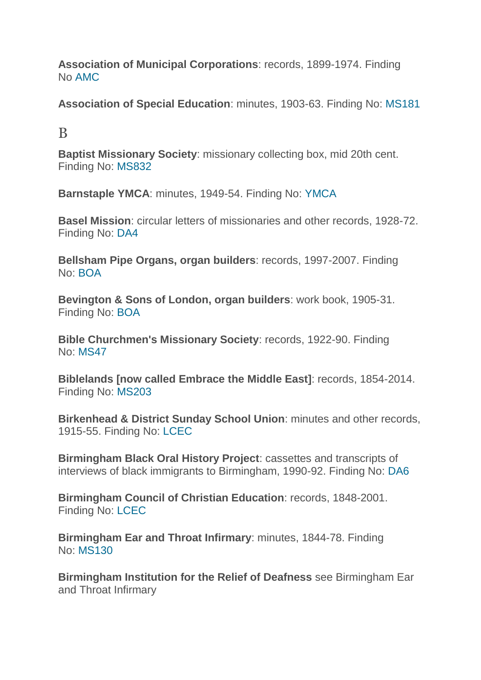**Association of Municipal Corporations**: records, 1899-1974. Finding No [AMC](http://calmview.bham.ac.uk/Record.aspx?src=Catalog&id=XAMC)

**Association of Special Education**: minutes, 1903-63. Finding No: [MS181](http://calmview.bham.ac.uk/Record.aspx?src=Catalog&id=XMS181)

B

**Baptist Missionary Society**: missionary collecting box, mid 20th cent. Finding No: [MS832](http://calmview.bham.ac.uk/Record.aspx?src=Catalog&id=XMS832)

**Barnstaple YMCA**: minutes, 1949-54. Finding No: [YMCA](http://calmview.bham.ac.uk/Record.aspx?src=Catalog&id=XYMCA)

**Basel Mission**: circular letters of missionaries and other records, 1928-72. Finding No: [DA4](http://calmview.bham.ac.uk/Record.aspx?src=Catalog&id=XDA4)

**Bellsham Pipe Organs, organ builders**: records, 1997-2007. Finding No: [BOA](http://calmview.bham.ac.uk/Record.aspx?src=Catalog&id=XBOA)

**Bevington & Sons of London, organ builders**: work book, 1905-31. Finding No: [BOA](http://calmview.bham.ac.uk/Record.aspx?src=Catalog&id=XBOA)

**Bible Churchmen's Missionary Society**: records, 1922-90. Finding No: [MS47](http://calmview.bham.ac.uk/Record.aspx?src=Catalog&id=XMS47)

**Biblelands [now called Embrace the Middle East]**: records, 1854-2014. Finding No: [MS203](http://calmview.bham.ac.uk/Record.aspx?src=Catalog&id=XMS203)

**Birkenhead & District Sunday School Union**: minutes and other records, 1915-55. Finding No: [LCEC](http://calmview.bham.ac.uk/Record.aspx?src=Catalog&id=XLCEC)

**Birmingham Black Oral History Project**: cassettes and transcripts of interviews of black immigrants to Birmingham, 1990-92. Finding No: [DA6](http://calmview.bham.ac.uk/Record.aspx?src=Catalog&id=XDA6)

**Birmingham Council of Christian Education**: records, 1848-2001. Finding No: [LCEC](http://calmview.bham.ac.uk/Record.aspx?src=Catalog&id=XLCEC)

**Birmingham Ear and Throat Infirmary**: minutes, 1844-78. Finding No: [MS130](http://calmview.bham.ac.uk/Record.aspx?src=Catalog&id=XMS130)

**Birmingham Institution for the Relief of Deafness** see Birmingham Ear and Throat Infirmary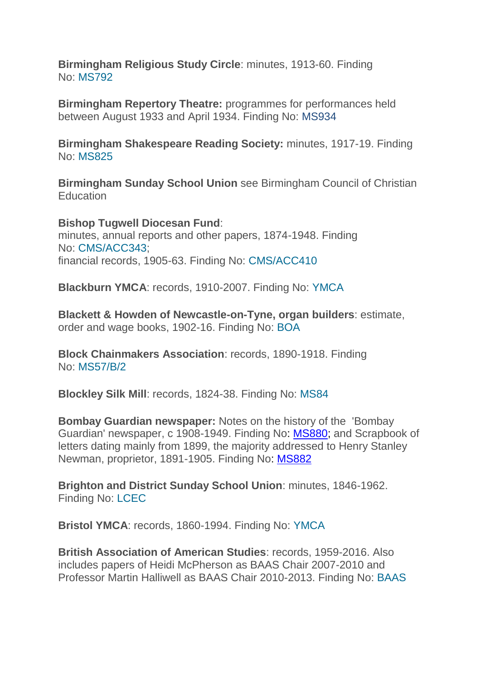**Birmingham Religious Study Circle**: minutes, 1913-60. Finding No: [MS792](http://calmview.bham.ac.uk/Record.aspx?src=Catalog&id=XMS792)

**Birmingham Repertory Theatre:** programmes for performances held between August 1933 and April 1934. Finding No: [MS934](http://calmview.bham.ac.uk/Record.aspx?src=CalmView.Catalog&id=XMS934)

**Birmingham Shakespeare Reading Society:** minutes, 1917-19. Finding No: [MS825](http://calmview.bham.ac.uk/Record.aspx?src=Catalog&id=XMS825)

**Birmingham Sunday School Union** see Birmingham Council of Christian **Education** 

**Bishop Tugwell Diocesan Fund**: minutes, annual reports and other papers, 1874-1948. Finding No: [CMS/ACC343;](http://calmview.bham.ac.uk/Record.aspx?src=Catalog&id=XCMSACC/343) financial records, 1905-63. Finding No: [CMS/ACC410](http://calmview.bham.ac.uk/Record.aspx?src=Catalog&id=XCMSACC/410)

**Blackburn YMCA**: records, 1910-2007. Finding No: [YMCA](http://calmview.bham.ac.uk/Record.aspx?src=Catalog&id=XYMCA)

**Blackett & Howden of Newcastle-on-Tyne, organ builders**: estimate, order and wage books, 1902-16. Finding No: [BOA](http://calmview.bham.ac.uk/Record.aspx?src=Catalog&id=XBOA)

**Block Chainmakers Association**: records, 1890-1918. Finding No: [MS57/B/2](http://calmview.bham.ac.uk/Record.aspx?src=Catalog&id=XMS57/B/2)

**Blockley Silk Mill**: records, 1824-38. Finding No: [MS84](http://calmview.bham.ac.uk/Record.aspx?src=CalmView.Catalog&id=XMS84)

**Bombay Guardian newspaper:** Notes on the history of the 'Bombay Guardian' newspaper, c 1908-1949. Finding No: [MS880;](http://calmview.bham.ac.uk/Record.aspx?src=CalmView.Catalog&id=XMS880&pos=1) and Scrapbook of letters dating mainly from 1899, the majority addressed to Henry Stanley Newman, proprietor, 1891-1905. Finding No: [MS882](http://calmview.bham.ac.uk/Record.aspx?src=CalmView.Catalog&id=XMS882&pos=1)

**Brighton and District Sunday School Union**: minutes, 1846-1962. Finding No: [LCEC](http://calmview.bham.ac.uk/Record.aspx?src=Catalog&id=XLCEC)

**Bristol YMCA**: records, 1860-1994. Finding No: [YMCA](http://calmview.bham.ac.uk/Record.aspx?src=Catalog&id=XYMCA)

**British Association of American Studies**: records, 1959-2016. Also includes papers of Heidi McPherson as BAAS Chair 2007-2010 and Professor Martin Halliwell as BAAS Chair 2010-2013. Finding No: [BAAS](http://calmview.bham.ac.uk/Record.aspx?src=Catalog&id=XBAAS)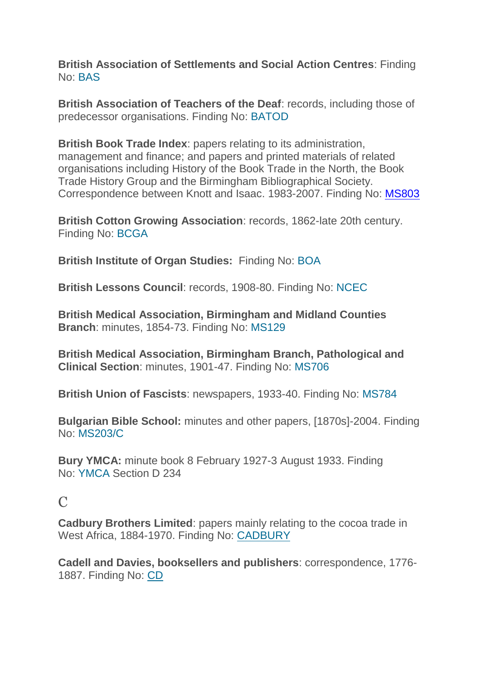**British Association of Settlements and Social Action Centres**: Finding No: [BAS](http://calmview.bham.ac.uk/Record.aspx?src=Catalog&id=XBAS)

**British Association of Teachers of the Deaf**: records, including those of predecessor organisations. Finding No: [BATOD](http://calmview.bham.ac.uk/Record.aspx?src=Catalog&id=XBATOD)

**British Book Trade Index**: papers relating to its administration, management and finance; and papers and printed materials of related organisations including History of the Book Trade in the North, the Book Trade History Group and the Birmingham Bibliographical Society. Correspondence between Knott and Isaac. 1983-2007. Finding No: [MS803](http://calmview.bham.ac.uk/Record.aspx?src=CalmView.Catalog&id=XMS803&pos=1)

**British Cotton Growing Association**: records, 1862-late 20th century. Finding No: [BCGA](http://calmview.bham.ac.uk/Record.aspx?src=Catalog&id=XBCGA)

**British Institute of Organ Studies:** Finding No: [BOA](http://calmview.bham.ac.uk/Record.aspx?src=Catalog&id=XBOA)

**British Lessons Council**: records, 1908-80. Finding No: [NCEC](http://calmview.bham.ac.uk/Record.aspx?src=Catalog&id=XNCEC)

**British Medical Association, Birmingham and Midland Counties Branch**: minutes, 1854-73. Finding No: [MS129](http://calmview.bham.ac.uk/Record.aspx?src=Catalog&id=XMS129)

**British Medical Association, Birmingham Branch, Pathological and Clinical Section**: minutes, 1901-47. Finding No: [MS706](http://calmview.bham.ac.uk/Record.aspx?src=Catalog&id=XMS706)

**British Union of Fascists**: newspapers, 1933-40. Finding No: [MS784](http://calmview.bham.ac.uk/Record.aspx?src=Catalog&id=XMS784)

**Bulgarian Bible School:** minutes and other papers, [1870s]-2004. Finding No: [MS203/C](http://calmview.bham.ac.uk/Record.aspx?src=Catalog&id=XMS203/C)

**Bury YMCA:** minute book 8 February 1927-3 August 1933. Finding No: [YMCA](http://calmview.bham.ac.uk/Record.aspx?src=CalmView.Catalog&id=XYMCA&pos=1) Section D 234

#### $\mathcal{C}$

**Cadbury Brothers Limited**: papers mainly relating to the cocoa trade in West Africa, 1884-1970. Finding No: [CADBURY](http://calmview.bham.ac.uk/Record.aspx?src=Catalog&id=XCADBURY)

**Cadell and Davies, booksellers and publishers**: correspondence, 1776- 1887. Finding No: [CD](http://calmview.bham.ac.uk/Record.aspx?src=Catalog&id=XCD)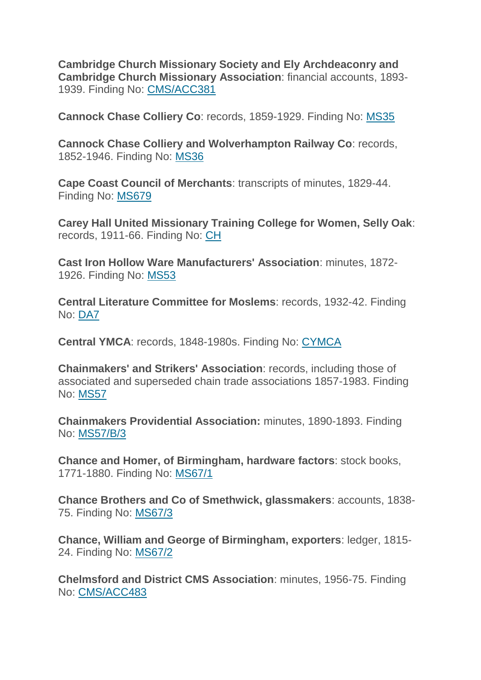**Cambridge Church Missionary Society and Ely Archdeaconry and Cambridge Church Missionary Association**: financial accounts, 1893- 1939. Finding No: [CMS/ACC381](http://calmview.bham.ac.uk/Record.aspx?src=Catalog&id=XCMSACC/381)

**Cannock Chase Colliery Co**: records, 1859-1929. Finding No: [MS35](http://calmview.bham.ac.uk/Record.aspx?src=Catalog&id=XMS35)

**Cannock Chase Colliery and Wolverhampton Railway Co**: records, 1852-1946. Finding No: [MS36](http://calmview.bham.ac.uk/Record.aspx?src=Catalog&id=XMS36)

**Cape Coast Council of Merchants**: transcripts of minutes, 1829-44. Finding No: [MS679](http://calmview.bham.ac.uk/Record.aspx?src=Catalog&id=XMS679)

**Carey Hall United Missionary Training College for Women, Selly Oak**: records, 1911-66. Finding No: [CH](http://calmview.bham.ac.uk/Record.aspx?src=Catalog&id=XCH)

**Cast Iron Hollow Ware Manufacturers' Association**: minutes, 1872- 1926. Finding No: [MS53](http://calmview.bham.ac.uk/Record.aspx?src=Catalog&id=XMS53)

**Central Literature Committee for Moslems**: records, 1932-42. Finding No: [DA7](http://calmview.bham.ac.uk/Record.aspx?src=Catalog&id=XDA7)

**Central YMCA**: records, 1848-1980s. Finding No: [CYMCA](http://calmview.bham.ac.uk/Record.aspx?src=Catalog&id=XCYMCA)

**Chainmakers' and Strikers' Association**: records, including those of associated and superseded chain trade associations 1857-1983. Finding No: [MS57](http://calmview.bham.ac.uk/Record.aspx?src=Catalog&id=XMS57)

**Chainmakers Providential Association:** minutes, 1890-1893. Finding No: [MS57/B/3](http://calmview.bham.ac.uk/Record.aspx?src=Catalog&id=XMS57/B/3)

**Chance and Homer, of Birmingham, hardware factors**: stock books, 1771-1880. Finding No: [MS67/1](http://calmview.bham.ac.uk/Record.aspx?src=Catalog&id=XMS67/1)

**Chance Brothers and Co of Smethwick, glassmakers**: accounts, 1838- 75. Finding No: [MS67/3](http://calmview.bham.ac.uk/Record.aspx?src=Catalog&id=XMS67/3)

**Chance, William and George of Birmingham, exporters**: ledger, 1815- 24. Finding No: [MS67/2](http://calmview.bham.ac.uk/Record.aspx?src=Catalog&id=XMS67/2)

**Chelmsford and District CMS Association**: minutes, 1956-75. Finding No: [CMS/ACC483](http://calmview.bham.ac.uk/Record.aspx?src=Catalog&id=XCMSACC/483)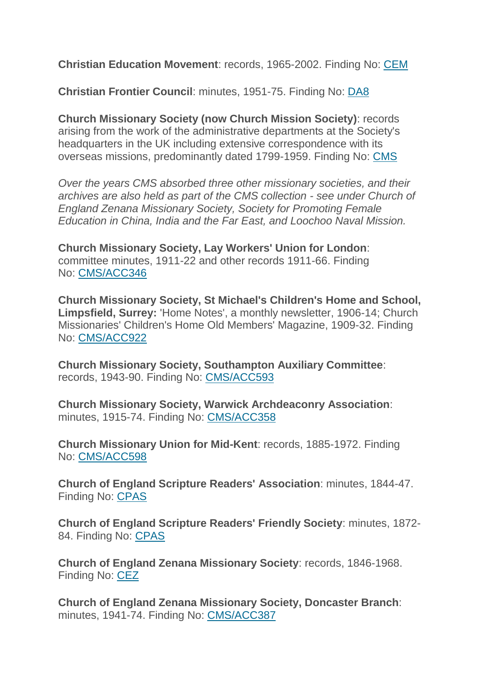**Christian Education Movement**: records, 1965-2002. Finding No: [CEM](http://calmview.bham.ac.uk/Record.aspx?src=Catalog&id=XCEM)

**Christian Frontier Council**: minutes, 1951-75. Finding No: [DA8](http://calmview.bham.ac.uk/Record.aspx?src=Catalog&id=XDA8)

**Church Missionary Society (now Church Mission Society)**: records arising from the work of the administrative departments at the Society's headquarters in the UK including extensive correspondence with its overseas missions, predominantly dated 1799-1959. Finding No: [CMS](http://calmview.bham.ac.uk/Record.aspx?src=Catalog&id=XCMS)

*Over the years CMS absorbed three other missionary societies, and their archives are also held as part of the CMS collection - see under Church of England Zenana Missionary Society, Society for Promoting Female Education in China, India and the Far East, and Loochoo Naval Mission.* 

**Church Missionary Society, Lay Workers' Union for London**: committee minutes, 1911-22 and other records 1911-66. Finding No: [CMS/ACC346](http://calmview.bham.ac.uk/Record.aspx?src=Catalog&id=XCMSACC/346)

**Church Missionary Society, St Michael's Children's Home and School, Limpsfield, Surrey:** 'Home Notes', a monthly newsletter, 1906-14; Church Missionaries' Children's Home Old Members' Magazine, 1909-32. Finding No: [CMS/ACC922](http://calmview.bham.ac.uk/Record.aspx?src=Catalog&id=XCMSACC/922)

**Church Missionary Society, Southampton Auxiliary Committee**: records, 1943-90. Finding No: [CMS/ACC593](http://calmview.bham.ac.uk/Record.aspx?src=Catalog&id=XCMSACC/593)

**Church Missionary Society, Warwick Archdeaconry Association**: minutes, 1915-74. Finding No: [CMS/ACC358](http://calmview.bham.ac.uk/Record.aspx?src=Catalog&id=XCMSACC/358)

**Church Missionary Union for Mid-Kent**: records, 1885-1972. Finding No: [CMS/ACC598](http://calmview.bham.ac.uk/Record.aspx?src=Catalog&id=XCMSACC/598)

**Church of England Scripture Readers' Association**: minutes, 1844-47. Finding No: [CPAS](http://calmview.bham.ac.uk/Record.aspx?src=Catalog&id=XCPAS)

**Church of England Scripture Readers' Friendly Society**: minutes, 1872- 84. Finding No: [CPAS](http://calmview.bham.ac.uk/Record.aspx?src=Catalog&id=XCPAS)

**Church of England Zenana Missionary Society**: records, 1846-1968. Finding No: [CEZ](http://calmview.bham.ac.uk/Record.aspx?src=Catalog&id=XCEZ)

**Church of England Zenana Missionary Society, Doncaster Branch**: minutes, 1941-74. Finding No: [CMS/ACC387](http://calmview.bham.ac.uk/Record.aspx?src=Catalog&id=XCMSACC/387)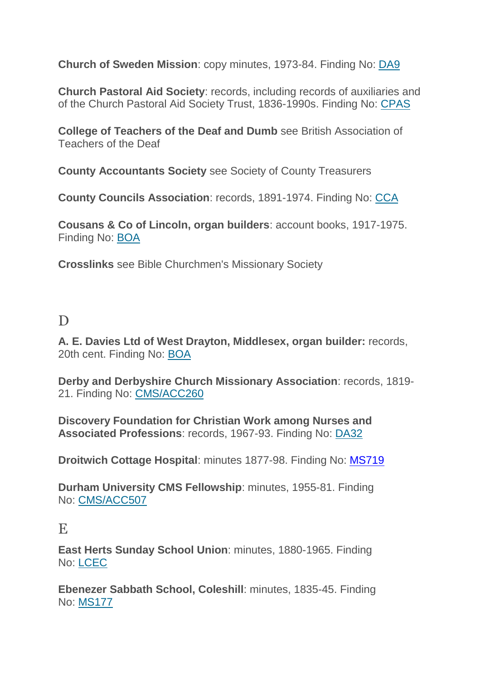**Church of Sweden Mission**: copy minutes, 1973-84. Finding No: [DA9](http://calmview.bham.ac.uk/Record.aspx?src=Catalog&id=XDA9)

**Church Pastoral Aid Society**: records, including records of auxiliaries and of the Church Pastoral Aid Society Trust, 1836-1990s. Finding No: [CPAS](http://calmview.bham.ac.uk/Record.aspx?src=Catalog&id=XCPAS)

**College of Teachers of the Deaf and Dumb** see British Association of Teachers of the Deaf

**County Accountants Society** see Society of County Treasurers

**County Councils Association**: records, 1891-1974. Finding No: [CCA](http://calmview.bham.ac.uk/Record.aspx?src=Catalog&id=XCCA)

**Cousans & Co of Lincoln, organ builders**: account books, 1917-1975. Finding No: [BOA](http://calmview.bham.ac.uk/Record.aspx?src=Catalog&id=XBOA)

**Crosslinks** see Bible Churchmen's Missionary Society

# D

**A. E. Davies Ltd of West Drayton, Middlesex, organ builder:** records, 20th cent. Finding No: [BOA](http://calmview.bham.ac.uk/Record.aspx?src=Catalog&id=XBOA)

**Derby and Derbyshire Church Missionary Association**: records, 1819- 21. Finding No: [CMS/ACC260](http://calmview.bham.ac.uk/Record.aspx?src=Catalog&id=XCMSACC/260)

**Discovery Foundation for Christian Work among Nurses and Associated Professions**: records, 1967-93. Finding No: [DA32](http://calmview.bham.ac.uk/Record.aspx?src=Catalog&id=XDA32)

**Droitwich Cottage Hospital**: minutes 1877-98. Finding No: [MS719](http://calmview.bham.ac.uk/Record.aspx?src=CalmView.Catalog&id=XMS719&pos=1)

**Durham University CMS Fellowship**: minutes, 1955-81. Finding No: [CMS/ACC507](http://calmview.bham.ac.uk/Record.aspx?src=Catalog&id=XCMSACC/507)

### E

**East Herts Sunday School Union**: minutes, 1880-1965. Finding No: [LCEC](http://calmview.bham.ac.uk/Record.aspx?src=Catalog&id=XLCEC)

**Ebenezer Sabbath School, Coleshill**: minutes, 1835-45. Finding No: [MS177](http://calmview.bham.ac.uk/Record.aspx?src=Catalog&id=XMS177)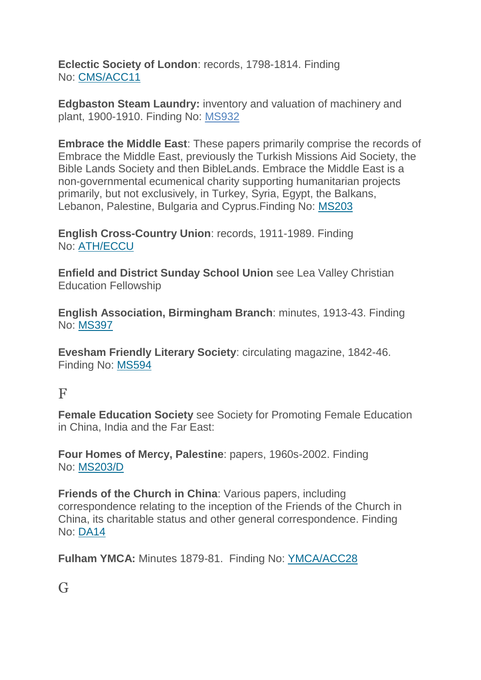**Eclectic Society of London**: records, 1798-1814. Finding No: [CMS/ACC11](http://calmview.bham.ac.uk/Record.aspx?src=Catalog&id=XCMSACC/11)

**Edgbaston Steam Laundry:** inventory and valuation of machinery and plant, 1900-1910. Finding No: [MS932](http://calmview.bham.ac.uk/Record.aspx?src=CalmView.Catalog&id=XMS932)

**Embrace the Middle East**: These papers primarily comprise the records of Embrace the Middle East, previously the Turkish Missions Aid Society, the Bible Lands Society and then BibleLands. Embrace the Middle East is a non-governmental ecumenical charity supporting humanitarian projects primarily, but not exclusively, in Turkey, Syria, Egypt, the Balkans, Lebanon, Palestine, Bulgaria and Cyprus.Finding No: [MS203](http://calmview.bham.ac.uk/Record.aspx?src=CalmView.Catalog&id=XMS203&pos=1)

**English Cross-Country Union**: records, 1911-1989. Finding No: [ATH/ECCU](http://calmview.bham.ac.uk/Record.aspx?src=CalmView.Catalog&id=XATH/ECCU&pos=1)

**Enfield and District Sunday School Union** see Lea Valley Christian Education Fellowship

**English Association, Birmingham Branch**: minutes, 1913-43. Finding No: [MS397](http://calmview.bham.ac.uk/Record.aspx?src=Catalog&id=XMS397)

**Evesham Friendly Literary Society**: circulating magazine, 1842-46. Finding No: [MS594](http://calmview.bham.ac.uk/Record.aspx?src=Catalog&id=XMS594)

#### F

**Female Education Society** see Society for Promoting Female Education in China, India and the Far East:

**Four Homes of Mercy, Palestine**: papers, 1960s-2002. Finding No: [MS203/D](http://calmview.bham.ac.uk/Record.aspx?src=Catalog&id=XMS203/D)

**Friends of the Church in China**: Various papers, including correspondence relating to the inception of the Friends of the Church in China, its charitable status and other general correspondence. Finding No: [DA14](http://calmview.bham.ac.uk/Record.aspx?src=Catalog&id=XDA14)

**Fulham YMCA:** Minutes 1879-81. Finding No: [YMCA/ACC28](http://calmview.bham.ac.uk/Record.aspx?src=Catalog&id=XYMCAACC28)

G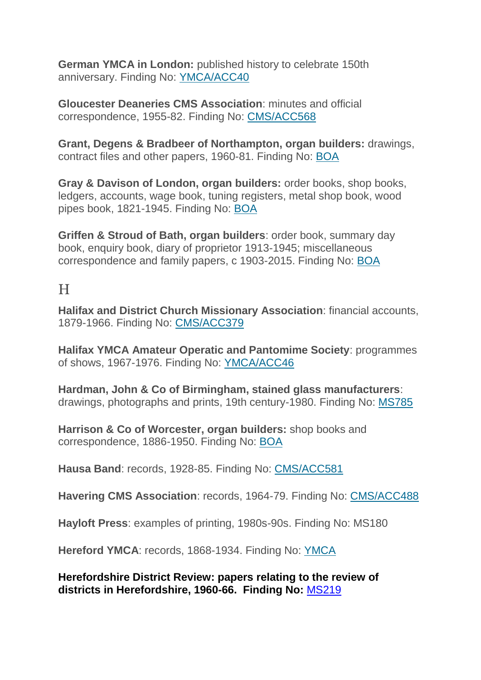**German YMCA in London:** published history to celebrate 150th anniversary. Finding No: [YMCA/ACC40](http://calmview.bham.ac.uk/Record.aspx?src=Catalog&id=XYMCAACC40)

**Gloucester Deaneries CMS Association**: minutes and official correspondence, 1955-82. Finding No: [CMS/ACC568](http://calmview.bham.ac.uk/Record.aspx?src=Catalog&id=XCMSACC/568)

**Grant, Degens & Bradbeer of Northampton, organ builders:** drawings, contract files and other papers, 1960-81. Finding No: [BOA](http://calmview.bham.ac.uk/Record.aspx?src=Catalog&id=XBOA)

**Gray & Davison of London, organ builders:** order books, shop books, ledgers, accounts, wage book, tuning registers, metal shop book, wood pipes book, 1821-1945. Finding No: [BOA](http://calmview.bham.ac.uk/Record.aspx?src=Catalog&id=XBOA)

**Griffen & Stroud of Bath, organ builders**: order book, summary day book, enquiry book, diary of proprietor 1913-1945; miscellaneous correspondence and family papers, c 1903-2015. Finding No: [BOA](http://calmview.bham.ac.uk/Record.aspx?src=Catalog&id=XBOA)

#### H

**Halifax and District Church Missionary Association**: financial accounts, 1879-1966. Finding No: [CMS/ACC379](http://calmview.bham.ac.uk/Record.aspx?src=Catalog&id=XCMSACC/379)

**Halifax YMCA Amateur Operatic and Pantomime Society**: programmes of shows, 1967-1976. Finding No: [YMCA/ACC46](http://calmview.bham.ac.uk/Record.aspx?src=Catalog&id=XYMCAACC46/P)

**Hardman, John & Co of Birmingham, stained glass manufacturers**: drawings, photographs and prints, 19th century-1980. Finding No: [MS785](http://calmview.bham.ac.uk/Record.aspx?src=Catalog&id=XMS785)

**Harrison & Co of Worcester, organ builders:** shop books and correspondence, 1886-1950. Finding No: [BOA](http://calmview.bham.ac.uk/Record.aspx?src=Catalog&id=XBOA)

**Hausa Band**: records, 1928-85. Finding No: [CMS/ACC581](http://calmview.bham.ac.uk/Record.aspx?src=Catalog&id=XCMSACC/581)

**Havering CMS Association**: records, 1964-79. Finding No: [CMS/ACC488](http://calmview.bham.ac.uk/Record.aspx?src=Catalog&id=XCMSACC/488)

**Hayloft Press**: examples of printing, 1980s-90s. Finding No: MS180

**Hereford YMCA**: records, 1868-1934. Finding No: [YMCA](http://calmview.bham.ac.uk/Record.aspx?src=Catalog&id=XYMCA)

**Herefordshire District Review: papers relating to the review of districts in Herefordshire, 1960-66. Finding No:** [MS219](http://calmview.bham.ac.uk/Record.aspx?src=CalmView.Catalog&id=XMS219&pos=1)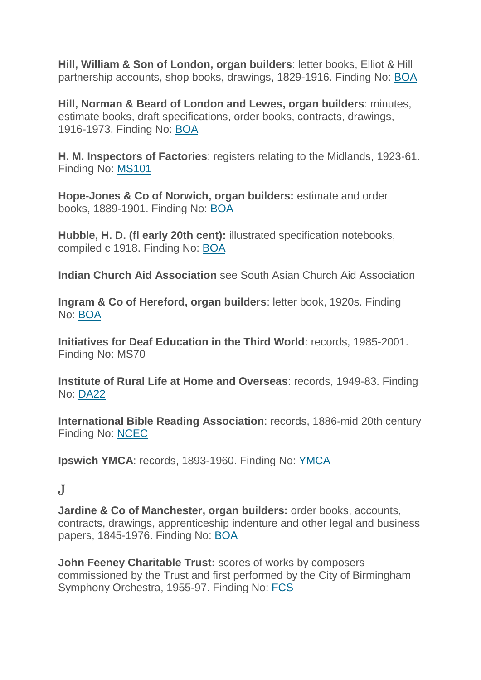**Hill, William & Son of London, organ builders**: letter books, Elliot & Hill partnership accounts, shop books, drawings, 1829-1916. Finding No: [BOA](http://calmview.bham.ac.uk/Record.aspx?src=Catalog&id=XBOA)

**Hill, Norman & Beard of London and Lewes, organ builders**: minutes, estimate books, draft specifications, order books, contracts, drawings, 1916-1973. Finding No: [BOA](http://calmview.bham.ac.uk/Record.aspx?src=Catalog&id=XBOA)

**H. M. Inspectors of Factories**: registers relating to the Midlands, 1923-61. Finding No: [MS101](http://calmview.bham.ac.uk/Record.aspx?src=Catalog&id=XMS101)

**Hope-Jones & Co of Norwich, organ builders:** estimate and order books, 1889-1901. Finding No: [BOA](http://calmview.bham.ac.uk/Record.aspx?src=Catalog&id=XBOA)

**Hubble, H. D. (fl early 20th cent):** illustrated specification notebooks, compiled c 1918. Finding No: [BOA](http://calmview.bham.ac.uk/Record.aspx?src=Catalog&id=XBOA)

**Indian Church Aid Association** see South Asian Church Aid Association

**Ingram & Co of Hereford, organ builders**: letter book, 1920s. Finding No: [BOA](http://calmview.bham.ac.uk/Record.aspx?src=Catalog&id=XBOA)

**Initiatives for Deaf Education in the Third World**: records, 1985-2001. Finding No: MS70

**Institute of Rural Life at Home and Overseas**: records, 1949-83. Finding No: [DA22](http://calmview.bham.ac.uk/Record.aspx?src=Catalog&id=XDA22)

**International Bible Reading Association**: records, 1886-mid 20th century Finding No: [NCEC](http://calmview.bham.ac.uk/Record.aspx?src=Catalog&id=XNCEC)

**Ipswich YMCA**: records, 1893-1960. Finding No: [YMCA](http://calmview.bham.ac.uk/Record.aspx?src=Catalog&id=XYMCA)

#### $\mathbf{J}$

**Jardine & Co of Manchester, organ builders:** order books, accounts, contracts, drawings, apprenticeship indenture and other legal and business papers, 1845-1976. Finding No: [BOA](http://calmview.bham.ac.uk/Record.aspx?src=Catalog&id=XBOA)

**John Feeney Charitable Trust:** scores of works by composers commissioned by the Trust and first performed by the City of Birmingham Symphony Orchestra, 1955-97. Finding No: [FCS](http://calmview.bham.ac.uk/Record.aspx?src=Catalog&id=XFCS)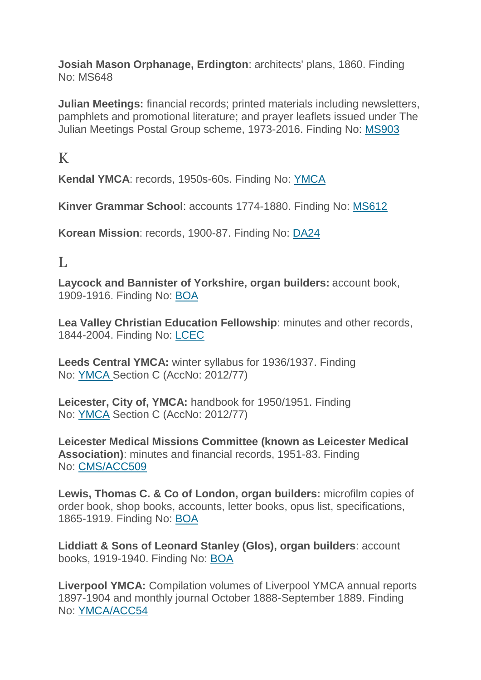**Josiah Mason Orphanage, Erdington**: architects' plans, 1860. Finding No: MS648

**Julian Meetings:** financial records; printed materials including newsletters, pamphlets and promotional literature; and prayer leaflets issued under The Julian Meetings Postal Group scheme, 1973-2016. Finding No: [MS903](http://calmview.bham.ac.uk/Record.aspx?src=CalmView.Catalog&id=XMS903&pos=1)

# K

**Kendal YMCA**: records, 1950s-60s. Finding No: [YMCA](http://calmview.bham.ac.uk/Record.aspx?src=Catalog&id=XYMCA)

**Kinver Grammar School**: accounts 1774-1880. Finding No: [MS612](http://calmview.bham.ac.uk/Record.aspx?src=Catalog&id=XMS612)

**Korean Mission**: records, 1900-87. Finding No: [DA24](http://calmview.bham.ac.uk/Record.aspx?src=Catalog&id=XDA24)

#### $\mathbf{L}$

**Laycock and Bannister of Yorkshire, organ builders:** account book, 1909-1916. Finding No: [BOA](http://calmview.bham.ac.uk/Record.aspx?src=Catalog&id=XBOA)

**Lea Valley Christian Education Fellowship**: minutes and other records, 1844-2004. Finding No: [LCEC](http://calmview.bham.ac.uk/Record.aspx?src=Catalog&id=XLCEC)

**Leeds Central YMCA:** winter syllabus for 1936/1937. Finding No: [YMCA](http://calmview.bham.ac.uk/Record.aspx?src=Catalog&id=XYMCA) Section C (AccNo: 2012/77)

**Leicester, City of, YMCA:** handbook for 1950/1951. Finding No: [YMCA](http://calmview.bham.ac.uk/Record.aspx?src=Catalog&id=XYMCA) Section C (AccNo: 2012/77)

**Leicester Medical Missions Committee (known as Leicester Medical Association)**: minutes and financial records, 1951-83. Finding No: [CMS/ACC509](http://calmview.bham.ac.uk/Record.aspx?src=Catalog&id=XCMSACC/509)

**Lewis, Thomas C. & Co of London, organ builders:** microfilm copies of order book, shop books, accounts, letter books, opus list, specifications, 1865-1919. Finding No: [BOA](http://calmview.bham.ac.uk/Record.aspx?src=Catalog&id=XBOA)

**Liddiatt & Sons of Leonard Stanley (Glos), organ builders**: account books, 1919-1940. Finding No: [BOA](http://calmview.bham.ac.uk/Record.aspx?src=Catalog&id=XBOA)

**Liverpool YMCA:** Compilation volumes of Liverpool YMCA annual reports 1897-1904 and monthly journal October 1888-September 1889. Finding No: [YMCA/ACC54](http://calmview.bham.ac.uk/Record.aspx?src=Catalog&id=XYMCAACC54)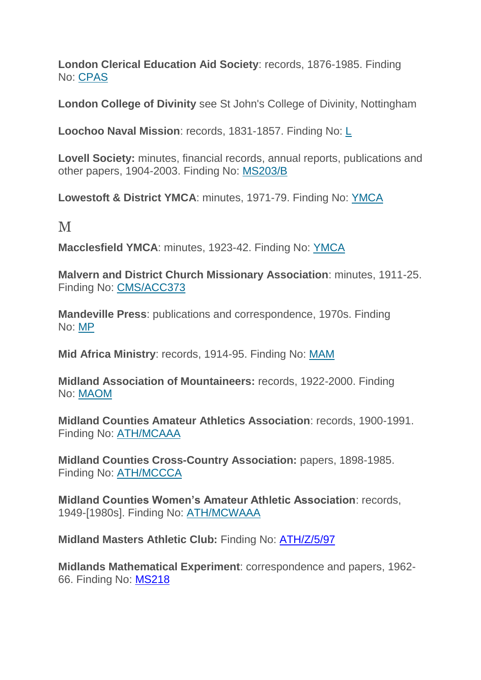**London Clerical Education Aid Society**: records, 1876-1985. Finding No: [CPAS](http://calmview.bham.ac.uk/Record.aspx?src=Catalog&id=XCPAS)

**London College of Divinity** see St John's College of Divinity, Nottingham

**Loochoo Naval Mission**: records, 1831-1857. Finding No: [L](http://calmview.bham.ac.uk/Record.aspx?src=Catalog&id=XL)

**Lovell Society:** minutes, financial records, annual reports, publications and other papers, 1904-2003. Finding No: [MS203/B](http://calmview.bham.ac.uk/Record.aspx?src=Catalog&id=XMS203/B)

**Lowestoft & District YMCA**: minutes, 1971-79. Finding No: [YMCA](http://calmview.bham.ac.uk/Record.aspx?src=Catalog&id=XYMCA)

M

**Macclesfield YMCA**: minutes, 1923-42. Finding No: [YMCA](http://calmview.bham.ac.uk/Record.aspx?src=Catalog&id=XYMCA)

**Malvern and District Church Missionary Association**: minutes, 1911-25. Finding No: [CMS/ACC373](http://calmview.bham.ac.uk/Record.aspx?src=Catalog&id=XCMSACC/373)

**Mandeville Press**: publications and correspondence, 1970s. Finding No: [MP](http://calmview.bham.ac.uk/Record.aspx?src=Catalog&id=XMP)

**Mid Africa Ministry**: records, 1914-95. Finding No: [MAM](http://calmview.bham.ac.uk/Record.aspx?src=Catalog&id=XMAM)

**Midland Association of Mountaineers:** records, 1922-2000. Finding No: [MAOM](http://calmview.bham.ac.uk/Record.aspx?src=CalmView.Catalog&id=XMAOM&pos=1)

**Midland Counties Amateur Athletics Association**: records, 1900-1991. Finding No: [ATH/MCAAA](http://calmview.bham.ac.uk/Record.aspx?src=CalmView.Catalog&id=XATH/MCAAA&pos=1)

**Midland Counties Cross-Country Association:** papers, 1898-1985. Finding No: [ATH/MCCCA](http://calmview.bham.ac.uk/Record.aspx?src=CalmView.Catalog&id=XATH/MCCCA)

**Midland Counties Women's Amateur Athletic Association**: records, 1949-[1980s]. Finding No: [ATH/MCWAAA](http://calmview.bham.ac.uk/Record.aspx?src=CalmView.Catalog&id=XATH/MCWAAA&pos=1)

**Midland Masters Athletic Club:** Finding No: [ATH/Z/5/97](http://calmview.bham.ac.uk/Record.aspx?src=CalmView.Catalog&id=XATH%2fZ%2f5%2f97&pos=1)

**Midlands Mathematical Experiment**: correspondence and papers, 1962- 66. Finding No: [MS218](http://calmview.bham.ac.uk/Record.aspx?src=CalmView.Catalog&id=XMS218&pos=1)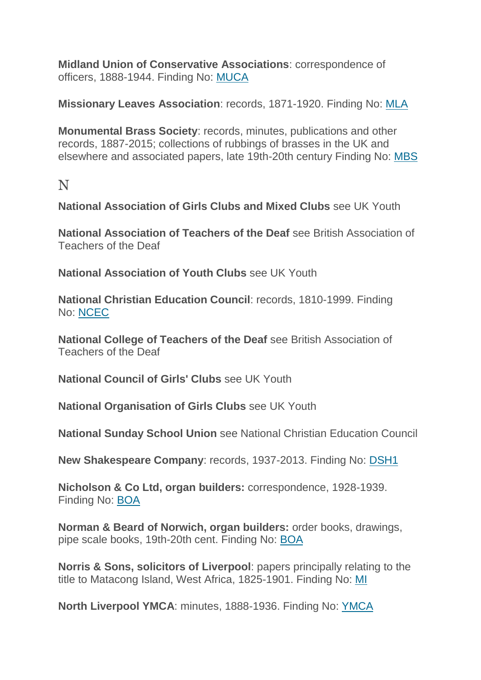**Midland Union of Conservative Associations**: correspondence of officers, 1888-1944. Finding No: [MUCA](http://calmview.bham.ac.uk/Record.aspx?src=Catalog&id=XMUCA)

**Missionary Leaves Association**: records, 1871-1920. Finding No: [MLA](http://calmview.bham.ac.uk/Record.aspx?src=Catalog&id=XMLA)

**Monumental Brass Society**: records, minutes, publications and other records, 1887-2015; collections of rubbings of brasses in the UK and elsewhere and associated papers, late 19th-20th century Finding No: [MBS](http://calmview.bham.ac.uk/Record.aspx?src=Catalog&id=XMBS)

N

**National Association of Girls Clubs and Mixed Clubs** see UK Youth

**National Association of Teachers of the Deaf** see British Association of Teachers of the Deaf

**National Association of Youth Clubs** see UK Youth

**National Christian Education Council**: records, 1810-1999. Finding No: [NCEC](http://calmview.bham.ac.uk/Record.aspx?src=Catalog&id=XNCEC)

**National College of Teachers of the Deaf** see British Association of Teachers of the Deaf

**National Council of Girls' Clubs** see UK Youth

**National Organisation of Girls Clubs** see UK Youth

**National Sunday School Union** see National Christian Education Council

**New Shakespeare Company**: records, 1937-2013. Finding No: [DSH1](http://calmview.bham.ac.uk/Record.aspx?src=Catalog&id=XDSH1)

**Nicholson & Co Ltd, organ builders:** correspondence, 1928-1939. Finding No: [BOA](http://calmview.bham.ac.uk/Record.aspx?src=Catalog&id=XBOA)

**Norman & Beard of Norwich, organ builders:** order books, drawings, pipe scale books, 19th-20th cent. Finding No: [BOA](http://calmview.bham.ac.uk/Record.aspx?src=Catalog&id=XBOA)

**Norris & Sons, solicitors of Liverpool**: papers principally relating to the title to Matacong Island, West Africa, 1825-1901. Finding No: [MI](http://calmview.bham.ac.uk/Record.aspx?src=Catalog&id=XMI)

**North Liverpool YMCA**: minutes, 1888-1936. Finding No: [YMCA](http://calmview.bham.ac.uk/Record.aspx?src=Catalog&id=XYMCA)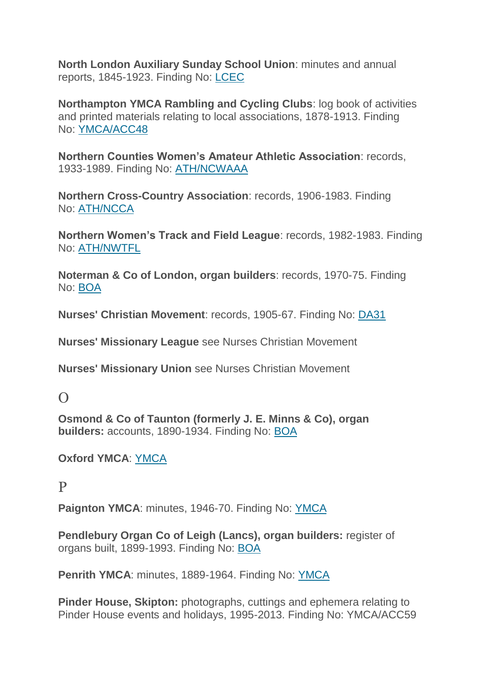**North London Auxiliary Sunday School Union**: minutes and annual reports, 1845-1923. Finding No: [LCEC](http://calmview.bham.ac.uk/Record.aspx?src=Catalog&id=XLCEC)

**Northampton YMCA Rambling and Cycling Clubs**: log book of activities and printed materials relating to local associations, 1878-1913. Finding No: [YMCA/ACC48](http://calmview.bham.ac.uk/Record.aspx?src=Catalog&id=XYMCAACC48)

**Northern Counties Women's Amateur Athletic Association**: records, 1933-1989. Finding No: [ATH/NCWAAA](http://calmview.bham.ac.uk/Record.aspx?src=CalmView.Catalog&id=XATH/NCWAAA&pos=1)

**Northern Cross-Country Association**: records, 1906-1983. Finding No: [ATH/NCCA](http://calmview.bham.ac.uk/Record.aspx?src=CalmView.Catalog&id=XATH/NCCA&pos=1)

**Northern Women's Track and Field League**: records, 1982-1983. Finding No: [ATH/NWTFL](http://calmview.bham.ac.uk/Record.aspx?src=CalmView.Catalog&id=XATH/NWTFL&pos=1)

**Noterman & Co of London, organ builders**: records, 1970-75. Finding No: [BOA](http://calmview.bham.ac.uk/Record.aspx?src=Catalog&id=XBOA)

**Nurses' Christian Movement**: records, 1905-67. Finding No: [DA31](http://calmview.bham.ac.uk/Record.aspx?src=Catalog&id=XDA31)

**Nurses' Missionary League** see Nurses Christian Movement

**Nurses' Missionary Union** see Nurses Christian Movement

#### $\Omega$

**Osmond & Co of Taunton (formerly J. E. Minns & Co), organ builders:** accounts, 1890-1934. Finding No: [BOA](http://calmview.bham.ac.uk/Record.aspx?src=Catalog&id=XBOA)

**Oxford YMCA**: [YMCA](http://calmview.bham.ac.uk/Record.aspx?src=CalmView.Catalog&id=XYMCA&pos=1)

#### P

**Paignton YMCA**: minutes, 1946-70. Finding No: [YMCA](http://calmview.bham.ac.uk/Record.aspx?src=Catalog&id=XYMCA)

**Pendlebury Organ Co of Leigh (Lancs), organ builders:** register of organs built, 1899-1993. Finding No: [BOA](http://calmview.bham.ac.uk/Record.aspx?src=Catalog&id=XBOA)

**Penrith YMCA**: minutes, 1889-1964. Finding No: [YMCA](http://calmview.bham.ac.uk/Record.aspx?src=Catalog&id=XYMCA)

**Pinder House, Skipton:** photographs, cuttings and ephemera relating to Pinder House events and holidays, 1995-2013. Finding No: YMCA/ACC59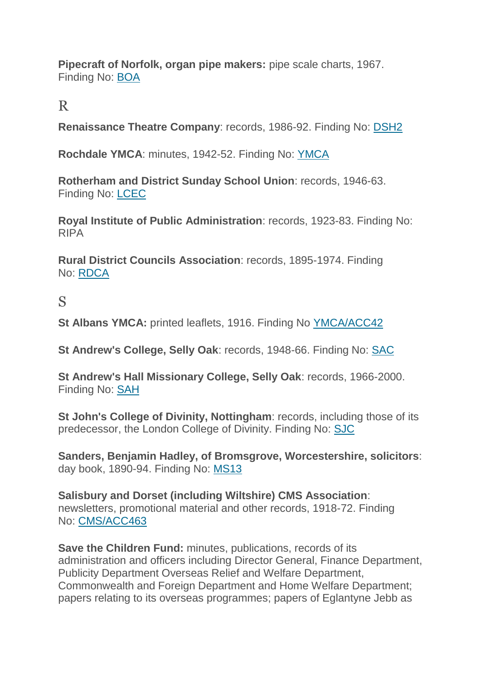**Pipecraft of Norfolk, organ pipe makers:** pipe scale charts, 1967. Finding No: [BOA](http://calmview.bham.ac.uk/Record.aspx?src=Catalog&id=XBOA)

#### R

**Renaissance Theatre Company**: records, 1986-92. Finding No: [DSH2](http://calmview.bham.ac.uk/Record.aspx?src=Catalog&id=XDSH2)

**Rochdale YMCA**: minutes, 1942-52. Finding No: [YMCA](http://calmview.bham.ac.uk/Record.aspx?src=Catalog&id=XYMCA)

**Rotherham and District Sunday School Union**: records, 1946-63. Finding No: [LCEC](http://calmview.bham.ac.uk/Record.aspx?src=Catalog&id=XLCEC)

**Royal Institute of Public Administration**: records, 1923-83. Finding No: RIPA

**Rural District Councils Association**: records, 1895-1974. Finding No: [RDCA](http://calmview.bham.ac.uk/Record.aspx?src=Catalog&id=XRDCA)

### S

**St Albans YMCA:** printed leaflets, 1916. Finding No [YMCA/ACC42](http://calmview.bham.ac.uk/Record.aspx?src=Catalog&id=XYMCAACC42)

**St Andrew's College, Selly Oak**: records, 1948-66. Finding No: [SAC](http://calmview.bham.ac.uk/Record.aspx?src=Catalog&id=XSAC)

**St Andrew's Hall Missionary College, Selly Oak**: records, 1966-2000. Finding No: [SAH](http://calmview.bham.ac.uk/Record.aspx?src=Catalog&id=XSAH)

**St John's College of Divinity, Nottingham**: records, including those of its predecessor, the London College of Divinity. Finding No: [SJC](http://calmview.bham.ac.uk/Record.aspx?src=Catalog&id=XSJC)

**Sanders, Benjamin Hadley, of Bromsgrove, Worcestershire, solicitors**: day book, 1890-94. Finding No: [MS13](http://calmview.bham.ac.uk/Record.aspx?src=Catalog&id=XMS13)

**Salisbury and Dorset (including Wiltshire) CMS Association**: newsletters, promotional material and other records, 1918-72. Finding No: [CMS/ACC463](http://calmview.bham.ac.uk/Record.aspx?src=Catalog&id=XCMSACC/463)

**Save the Children Fund:** minutes, publications, records of its administration and officers including Director General, Finance Department, Publicity Department Overseas Relief and Welfare Department, Commonwealth and Foreign Department and Home Welfare Department; papers relating to its overseas programmes; papers of Eglantyne Jebb as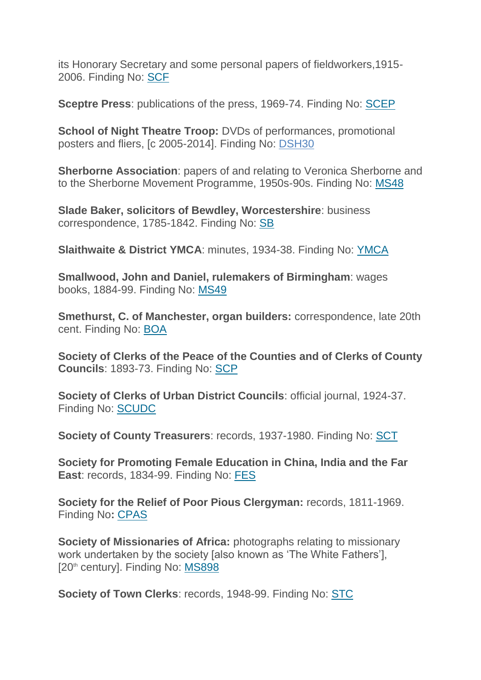its Honorary Secretary and some personal papers of fieldworkers,1915- 2006. Finding No: [SCF](http://calmview.bham.ac.uk/Record.aspx?src=Catalog&id=XSCF)

**Sceptre Press**: publications of the press, 1969-74. Finding No: [SCEP](http://calmview.bham.ac.uk/Record.aspx?src=Catalog&id=XSCEP)

**School of Night Theatre Troop:** DVDs of performances, promotional posters and fliers, [c 2005-2014]. Finding No: [DSH30](http://calmview.bham.ac.uk/TreeBrowse.aspx?src=CalmView.Catalog&field=RefNo&key=XDSH30)

**Sherborne Association**: papers of and relating to Veronica Sherborne and to the Sherborne Movement Programme, 1950s-90s. Finding No: [MS48](http://calmview.bham.ac.uk/Record.aspx?src=Catalog&id=XMS48)

**Slade Baker, solicitors of Bewdley, Worcestershire**: business correspondence, 1785-1842. Finding No: [SB](http://calmview.bham.ac.uk/Record.aspx?src=Catalog&id=XSB)

**Slaithwaite & District YMCA**: minutes, 1934-38. Finding No: [YMCA](http://calmview.bham.ac.uk/Record.aspx?src=Catalog&id=XYMCA)

**Smallwood, John and Daniel, rulemakers of Birmingham**: wages books, 1884-99. Finding No: [MS49](http://calmview.bham.ac.uk/Record.aspx?src=Catalog&id=XMS49)

**Smethurst, C. of Manchester, organ builders:** correspondence, late 20th cent. Finding No: [BOA](http://calmview.bham.ac.uk/Record.aspx?src=Catalog&id=XBOA)

**Society of Clerks of the Peace of the Counties and of Clerks of County Councils**: 1893-73. Finding No: [SCP](http://calmview.bham.ac.uk/Record.aspx?src=Catalog&id=XSCP)

**Society of Clerks of Urban District Councils**: official journal, 1924-37. Finding No: [SCUDC](http://calmview.bham.ac.uk/Record.aspx?src=Catalog&id=XSCUDC)

**Society of County Treasurers**: records, 1937-1980. Finding No: [SCT](http://calmview.bham.ac.uk/Record.aspx?src=Catalog&id=XSCT)

**Society for Promoting Female Education in China, India and the Far East**: records, 1834-99. Finding No: [FES](http://calmview.bham.ac.uk/Record.aspx?src=Catalog&id=XFES)

**Society for the Relief of Poor Pious Clergyman:** records, 1811-1969. Finding No**:** [CPAS](http://calmview.bham.ac.uk/Record.aspx?src=Catalog&id=XCPAS)

**Society of Missionaries of Africa:** photographs relating to missionary work undertaken by the society [also known as 'The White Fathers'], [20<sup>th</sup> century]. Finding No: [MS898](http://calmview.bham.ac.uk/Record.aspx?src=CalmView.Catalog&id=XMS898&pos=1)

**Society of Town Clerks**: records, 1948-99. Finding No: [STC](http://calmview.bham.ac.uk/Record.aspx?src=Catalog&id=XSTC)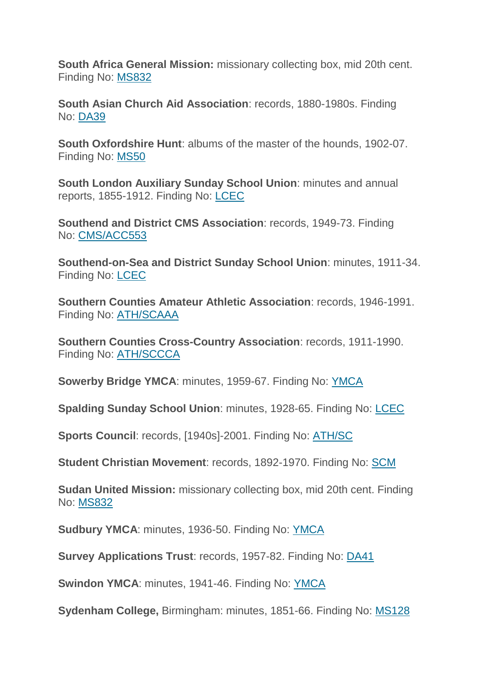**South Africa General Mission:** missionary collecting box, mid 20th cent. Finding No: [MS832](http://calmview.bham.ac.uk/Record.aspx?src=Catalog&id=XMS832)

**South Asian Church Aid Association**: records, 1880-1980s. Finding No: [DA39](http://calmview.bham.ac.uk/Record.aspx?src=Catalog&id=XDA39)

**South Oxfordshire Hunt**: albums of the master of the hounds, 1902-07. Finding No: [MS50](http://calmview.bham.ac.uk/Record.aspx?src=Catalog&id=XMS50)

**South London Auxiliary Sunday School Union**: minutes and annual reports, 1855-1912. Finding No: [LCEC](http://calmview.bham.ac.uk/Record.aspx?src=Catalog&id=XLCEC)

**Southend and District CMS Association**: records, 1949-73. Finding No: [CMS/ACC553](http://calmview.bham.ac.uk/Record.aspx?src=Catalog&id=XCMSACC/553)

**Southend-on-Sea and District Sunday School Union**: minutes, 1911-34. Finding No: [LCEC](http://calmview.bham.ac.uk/Record.aspx?src=Catalog&id=XLCEC)

**Southern Counties Amateur Athletic Association**: records, 1946-1991. Finding No: [ATH/SCAAA](http://calmview.bham.ac.uk/Record.aspx?src=CalmView.Catalog&id=XATH/SCAAA&pos=1)

**Southern Counties Cross-Country Association**: records, 1911-1990. Finding No: [ATH/SCCCA](http://calmview.bham.ac.uk/Record.aspx?src=CalmView.Catalog&id=XATH/SCCCA&pos=1)

**Sowerby Bridge YMCA**: minutes, 1959-67. Finding No: [YMCA](http://calmview.bham.ac.uk/Record.aspx?src=Catalog&id=XYMCA)

**Spalding Sunday School Union**: minutes, 1928-65. Finding No: [LCEC](http://calmview.bham.ac.uk/Record.aspx?src=Catalog&id=XLCEC)

**Sports Council**: records, [1940s]-2001. Finding No: [ATH/SC](http://calmview.bham.ac.uk/Record.aspx?src=CalmView.Catalog&id=XATH/SC&pos=1)

**Student Christian Movement**: records, 1892-1970. Finding No: [SCM](http://calmview.bham.ac.uk/Record.aspx?src=Catalog&id=XSCM)

**Sudan United Mission:** missionary collecting box, mid 20th cent. Finding No: [MS832](http://calmview.bham.ac.uk/Record.aspx?src=Catalog&id=XMS832)

**Sudbury YMCA**: minutes, 1936-50. Finding No: [YMCA](http://calmview.bham.ac.uk/Record.aspx?src=Catalog&id=XYMCA)

**Survey Applications Trust**: records, 1957-82. Finding No: [DA41](http://calmview.bham.ac.uk/Record.aspx?src=Catalog&id=XDA41)

**Swindon YMCA**: minutes, 1941-46. Finding No: [YMCA](http://calmview.bham.ac.uk/Record.aspx?src=Catalog&id=XYMCA)

**Sydenham College,** Birmingham: minutes, 1851-66. Finding No: [MS128](http://calmview.bham.ac.uk/Record.aspx?src=Catalog&id=XMS128)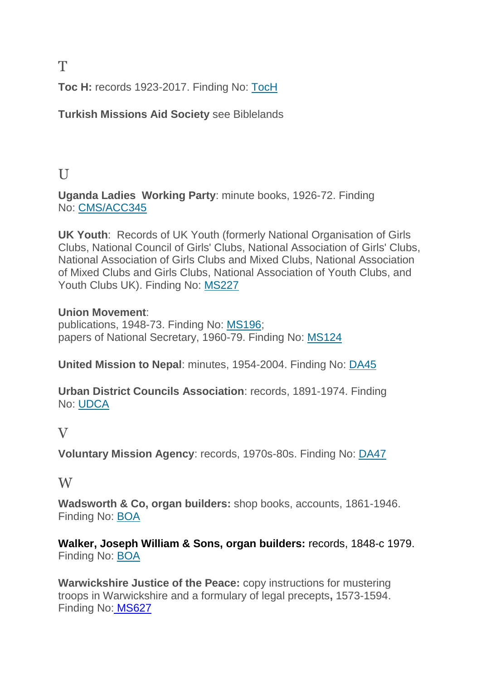**Toc H:** records 1923-2017. Finding No: [TocH](http://calmview.bham.ac.uk/Record.aspx?src=Catalog&id=XTocH)

**Turkish Missions Aid Society** see Biblelands

## $II$

**Uganda Ladies Working Party**: minute books, 1926-72. Finding No: [CMS/ACC345](http://calmview.bham.ac.uk/Record.aspx?src=Catalog&id=XCMSACC/345)

**UK Youth**: Records of UK Youth (formerly National Organisation of Girls Clubs, National Council of Girls' Clubs, National Association of Girls' Clubs, National Association of Girls Clubs and Mixed Clubs, National Association of Mixed Clubs and Girls Clubs, National Association of Youth Clubs, and Youth Clubs UK). Finding No: [MS227](http://calmview.bham.ac.uk/Record.aspx?src=Catalog&id=XMS227)

#### **Union Movement**:

publications, 1948-73. Finding No: [MS196;](http://calmview.bham.ac.uk/Record.aspx?src=Catalog&id=XMS196) papers of National Secretary, 1960-79. Finding No: [MS124](http://calmview.bham.ac.uk/Record.aspx?src=Catalog&id=XMS124)

**United Mission to Nepal**: minutes, 1954-2004. Finding No: [DA45](http://calmview.bham.ac.uk/Record.aspx?src=Catalog&id=XDA45)

**Urban District Councils Association**: records, 1891-1974. Finding No: [UDCA](http://calmview.bham.ac.uk/Record.aspx?src=CalmView.Catalog&id=XUDCA&pos=1)

#### V

**Voluntary Mission Agency**: records, 1970s-80s. Finding No: [DA47](http://calmview.bham.ac.uk/Record.aspx?src=Catalog&id=XDA47)

#### W

**Wadsworth & Co, organ builders:** shop books, accounts, 1861-1946. Finding No: [BOA](http://calmview.bham.ac.uk/Record.aspx?src=Catalog&id=XBOA)

**Walker, Joseph William & Sons, organ builders:** records, 1848-c 1979. Finding No: [BOA](http://calmview.bham.ac.uk/Record.aspx?src=Catalog&id=XBOA)

**Warwickshire Justice of the Peace:** copy instructions for mustering troops in Warwickshire and a formulary of legal precepts**,** 1573-1594. Finding No: [MS627](http://calmview.bham.ac.uk/Record.aspx?src=CalmView.Catalog&id=XMS627&pos=1)

T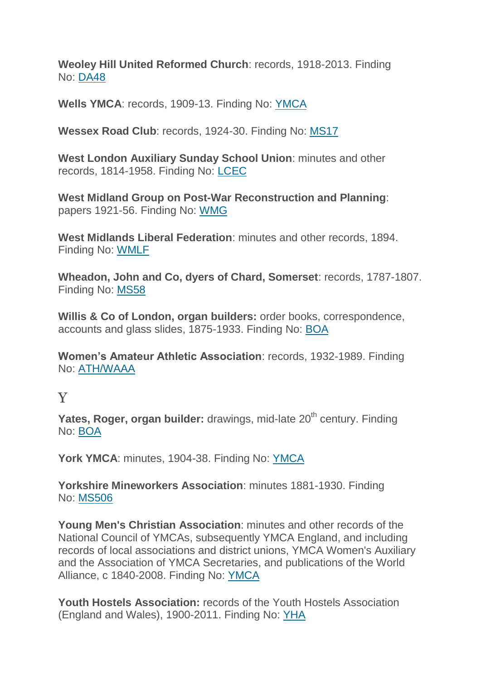**Weoley Hill United Reformed Church**: records, 1918-2013. Finding No: [DA48](http://calmview.bham.ac.uk/Record.aspx?src=Catalog&id=XDA48)

**Wells YMCA**: records, 1909-13. Finding No: [YMCA](http://calmview.bham.ac.uk/Record.aspx?src=Catalog&id=XYMCA)

**Wessex Road Club**: records, 1924-30. Finding No: [MS17](http://calmview.bham.ac.uk/Record.aspx?src=Catalog&id=XMS17)

**West London Auxiliary Sunday School Union**: minutes and other records, 1814-1958. Finding No: [LCEC](http://calmview.bham.ac.uk/Record.aspx?src=Catalog&id=XLCEC)

**West Midland Group on Post-War Reconstruction and Planning**: papers 1921-56. Finding No: [WMG](http://calmview.bham.ac.uk/Record.aspx?src=Catalog&id=XWMG)

**West Midlands Liberal Federation**: minutes and other records, 1894. Finding No: [WMLF](http://calmview.bham.ac.uk/Record.aspx?src=Catalog&id=XWMLF)

**Wheadon, John and Co, dyers of Chard, Somerset**: records, 1787-1807. Finding No: [MS58](http://calmview.bham.ac.uk/Record.aspx?src=Catalog&id=XMS58)

**Willis & Co of London, organ builders:** order books, correspondence, accounts and glass slides, 1875-1933. Finding No: [BOA](http://calmview.bham.ac.uk/Record.aspx?src=Catalog&id=XBOA)

**Women's Amateur Athletic Association**: records, 1932-1989. Finding No: [ATH/WAAA](http://calmview.bham.ac.uk/Record.aspx?src=CalmView.Catalog&id=XATH/WAAA&pos=1)

### Y

**Yates, Roger, organ builder:** drawings, mid-late 20<sup>th</sup> century. Finding No: [BOA](http://calmview.bham.ac.uk/Record.aspx?src=Catalog&id=XBOA)

**York YMCA**: minutes, 1904-38. Finding No: [YMCA](http://calmview.bham.ac.uk/Record.aspx?src=Catalog&id=XYMCA)

**Yorkshire Mineworkers Association**: minutes 1881-1930. Finding No: [MS506](http://calmview.bham.ac.uk/Record.aspx?src=Catalog&id=XMS506)

**Young Men's Christian Association**: minutes and other records of the National Council of YMCAs, subsequently YMCA England, and including records of local associations and district unions, YMCA Women's Auxiliary and the Association of YMCA Secretaries, and publications of the World Alliance, c 1840-2008. Finding No: [YMCA](http://calmview.bham.ac.uk/Record.aspx?src=CalmView.Catalog&id=XYMCA)

**Youth Hostels Association:** records of the Youth Hostels Association (England and Wales), 1900-2011. Finding No: [YHA](http://calmview.bham.ac.uk/Record.aspx?src=CalmView.Catalog&id=XYHA)